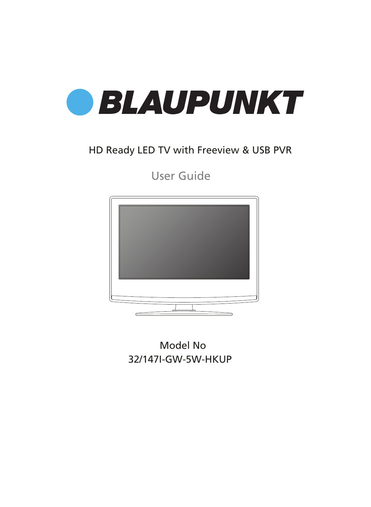

### HD Ready LED TV with Freeview & USB PVR

User Guide



Model No 32/147I-GW-5W-HKUP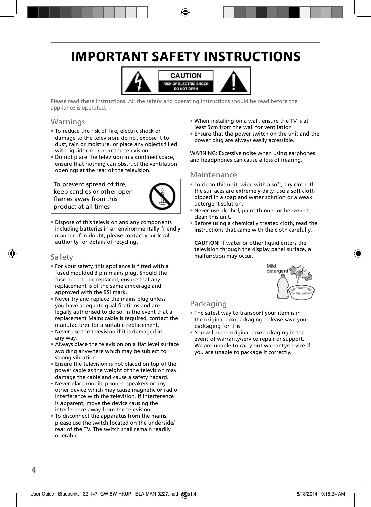# **IMPORTANT SAFETY INSTRUCTIONS**



Please read these instructions. All the safety and operating instructions should be read before the appliance is operated.

### Warnings

- To reduce the risk of fire, electric shock or damage to the television, do not expose it to dust, rain or moisture, or place any objects filled with liquids on or near the television.
- Do not place the television in a confined space, ensure that nothing can obstruct the ventilation openings at the rear of the television.

To prevent spread of fire, keep candles or other open flames away from this product at all times



• Dispose of this television and any components including batteries in an environmentally friendly manner. If in doubt, please contact your local authority for details of recycling.

### Safety

- For your safety, this appliance is fitted with a fused moulded 3 pin mains plug. Should the fuse need to be replaced, ensure that any replacement is of the same amperage and approved with the BSI mark.
- Never try and replace the mains plug unless you have adequate qualifications and are legally authorised to do so. In the event that a replacement Mains cable is required, contact the manufacturer for a suitable replacement.
- Never use the television if it is damaged in any way.
- Always place the television on a flat level surface avoiding anywhere which may be subject to strong vibration.
- Ensure the television is not placed on top of the power cable as the weight of the television may damage the cable and cause a safety hazard.
- Never place mobile phones, speakers or any other device which may cause magnetic or radio interference with the television. If interference is apparent, move the device causing the interference away from the television.
- To disconnect the apparatus from the mains, please use the switch located on the underside/ rear of the TV. The switch shall remain readily operable.
- When installing on a wall, ensure the TV is at least 5cm from the wall for ventilation
- Ensure that the power switch on the unit and the power plug are always easily accessible.

WARNING: Excessive noise when using earphones and headphones can cause a loss of hearing.

#### Maintenance

- To clean this unit, wipe with a soft, dry cloth. If the surfaces are extremely dirty, use a soft cloth dipped in a soap and water solution or a weak detergent solution.
- Never use alcohol, paint thinner or benzene to clean this unit.
- Before using a chemically treated cloth, read the instructions that came with the cloth carefully.

**CAUTION:** If water or other liquid enters the television through the display panel surface, a malfunction may occur.



### Packaging

- The safest way to transport your item is in the original box/packaging - please save your packaging for this.
- You will need original box/packaging in the event of warranty/service repair or support. We are unable to carry out warranty/service if you are unable to package it correctly.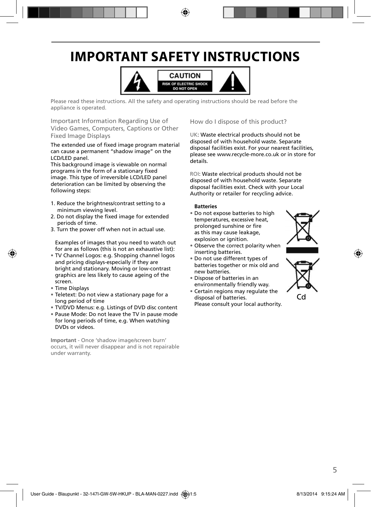# **IMPORTANT SAFETY INSTRUCTIONS**



Please read these instructions. All the safety and operating instructions should be read before the appliance is operated.

Important Information Regarding Use of Video Games, Computers, Captions or Other Fixed Image Displays

The extended use of fixed image program material can cause a permanent "shadow image" on the LCD/LED panel.

This background image is viewable on normal programs in the form of a stationary fixed image. This type of irreversible LCD/LED panel deterioration can be limited by observing the following steps:

- 1. Reduce the brightness/contrast setting to a minimum viewing level.
- 2. Do not display the fixed image for extended periods of time.
- 3. Turn the power off when not in actual use.

Examples of images that you need to watch out for are as follows (this is not an exhaustive list):

- TV Channel Logos: e.g. Shopping channel logos and pricing displays-especially if they are bright and stationary. Moving or low-contrast graphics are less likely to cause ageing of the screen.
- Time Displays
- Teletext: Do not view a stationary page for a long period of time
- TV/DVD Menus: e.g. Listings of DVD disc content
- Pause Mode: Do not leave the TV in pause mode for long periods of time, e.g. When watching DVDs or videos.

**Important** - Once 'shadow image/screen burn' occurs, it will never disappear and is not repairable under warranty.

How do I dispose of this product?

UK: Waste electrical products should not be disposed of with household waste. Separate disposal facilities exist. For your nearest facilities, please see www.recycle-more.co.uk or in store for details.

ROI: Waste electrical products should not be disposed of with household waste. Separate disposal facilities exist. Check with your Local Authority or retailer for recycling advice.

#### **Batteries**

• Do not expose batteries to high temperatures, excessive heat, prolonged sunshine or fire as this may cause leakage, explosion or ignition.



- Do not use different types of batteries together or mix old and new batteries.
- Dispose of batteries in an environmentally friendly way.
- Certain regions may regulate the disposal of batteries. Please consult your local authority.



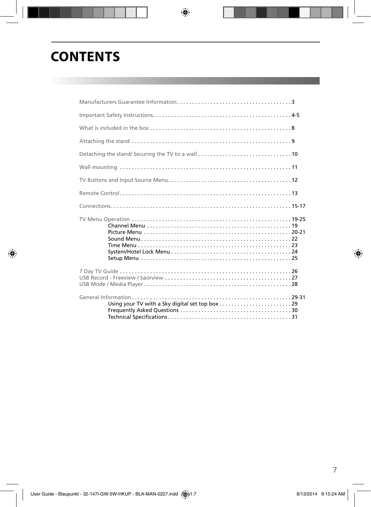## **CONTENTS**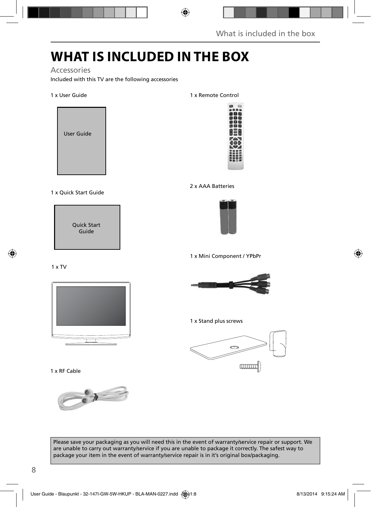# **WHAT IS INCLUDED IN THE BOX**

#### Accessories

Included with this TV are the following accessories

#### 1 x User Guide



#### 1 x Quick Start Guide



#### 1 x Remote Control



#### 2 x AAA Batteries



1 x Mini Component / YPbPr

#### 1 x RF Cable

1 x TV





1 x Stand plus screws



Please save your packaging as you will need this in the event of warranty/service repair or support. We are unable to carry out warranty/service if you are unable to package it correctly. The safest way to package your item in the event of warranty/service repair is in it's original box/packaging.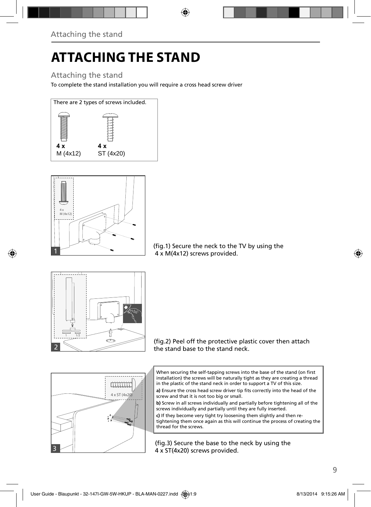# **ATTACHING THE STAND**

### Attaching the stand

To complete the stand installation you will require a cross head screw driver





(fig.1) Secure the neck to the TV by using the 4 x M(4x12) screws provided.



3

4 x ST (4x20) 20)

mmm

(fig.2) Peel off the protective plastic cover then attach the stand base to the stand neck.



a) Ensure the cross head screw driver tip fits correctly into the head of the screw and that it is not too big or small.

**b)** Screw in all screws individually and partially before tightening all of the screws individually and partially until they are fully inserted.

**c)** If they become very tight try loosening them slightly and then retightening them once again as this will continue the process of creating the thread for the screws.

(fig.3) Secure the base to the neck by using the 4 x ST(4x20) screws provided.

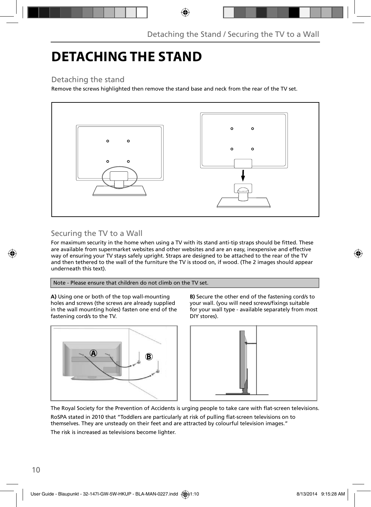### **DETACHING THE STAND**

### Detaching the stand

Remove the screws highlighted then remove the stand base and neck from the rear of the TV set.



### Securing the TV to a Wall

For maximum security in the home when using a TV with its stand anti-tip straps should be fitted. These are available from supermarket websites and other websites and are an easy, inexpensive and effective way of ensuring your TV stays safely upright. Straps are designed to be attached to the rear of the TV and then tethered to the wall of the furniture the TV is stood on, if wood. (The 2 images should appear underneath this text).

#### Note - Please ensure that children do not climb on the TV set.

**A)** Using one or both of the top wall-mounting holes and screws (the screws are already supplied in the wall mounting holes) fasten one end of the fastening cord/s to the TV.



**B)** Secure the other end of the fastening cord/s to your wall. (you will need screws/fixings suitable for your wall type - available separately from most DIY stores).



The Royal Society for the Prevention of Accidents is urging people to take care with flat-screen televisions. RoSPA stated in 2010 that "Toddlers are particularly at risk of pulling flat-screen televisions on to

themselves. They are unsteady on their feet and are attracted by colourful television images." The risk is increased as televisions become lighter.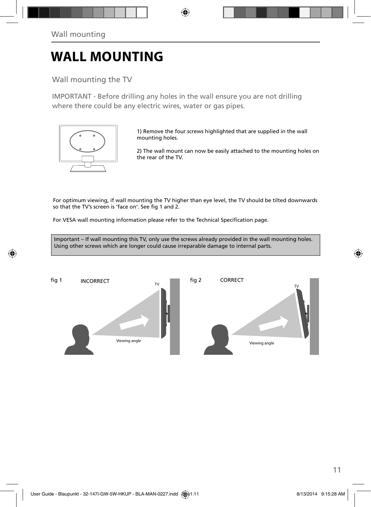### **WALL MOUNTING**

### Wall mounting the TV

IMPORTANT - Before drilling any holes in the wall ensure you are not drilling where there could be any electric wires, water or gas pipes.



1) Remove the four screws highlighted that are supplied in the wall mounting holes.

2) The wall mount can now be easily attached to the mounting holes on the rear of the TV.

For optimum viewing, if wall mounting the TV higher than eye level, the TV should be tilted downwards so that the TV's screen is 'face on'. See fig 1 and 2.

For VESA wall mounting information please refer to the Technical Specification page.

Important – If wall mounting this TV, only use the screws already provided in the wall mounting holes. Using other screws which are longer could cause irreparable damage to internal parts.

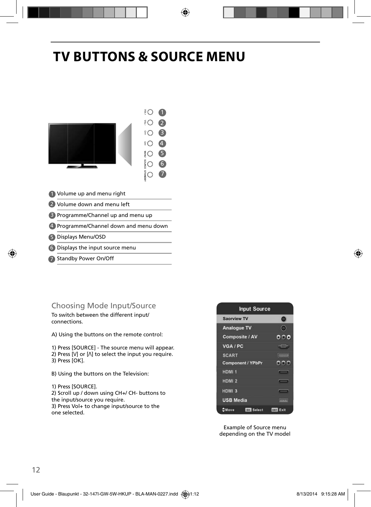# **TV BUTTONS & SOURCE MENU**



### Choosing Mode Input/Source

To switch between the different input/ connections.

A) Using the buttons on the remote control:

1) Press [SOURCE] - The source menu will appear. 2) Press  $[V]$  or  $[\Lambda]$  to select the input you require. 3) Press [OK].

B) Using the buttons on the Television:

1) Press [SOURCE]. 2) Scroll up / down using CH+/ CH- buttons to the input/source you require. 3) Press Vol+ to change input/source to the one selected.



Example of Source menu depending on the TV model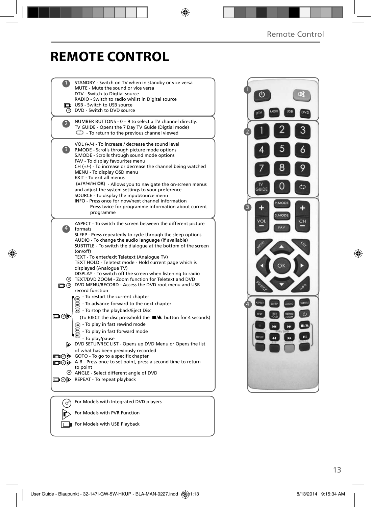# **REMOTE CONTROL**

|                | STANDBY - Switch on TV when in standby or vice versa<br>MUTE - Mute the sound or vice versa                                                                                                                                                                                                                                                                                     |
|----------------|---------------------------------------------------------------------------------------------------------------------------------------------------------------------------------------------------------------------------------------------------------------------------------------------------------------------------------------------------------------------------------|
|                | DTV - Switch to Digtial source<br>RADIO - Switch to radio whilst in Digital source                                                                                                                                                                                                                                                                                              |
|                | USB - Switch to USB source                                                                                                                                                                                                                                                                                                                                                      |
|                | O DVD - Switch to DVD source                                                                                                                                                                                                                                                                                                                                                    |
| $\overline{a}$ | NUMBER BUTTONS - 0 - 9 to select a TV channel directly.<br>TV GUIDE - Opens the 7 Day TV Guide (Digtial mode)<br>$\mathbb{C}$ - To return to the previous channel viewed                                                                                                                                                                                                        |
| 3)             | VOL (+/-) - To increase / decrease the sound level<br>P.MODE - Scrolls through picture mode options<br>S.MODE - Scrolls through sound mode options<br>FAV - To display favourites menu<br>$CH (+/-)$ - To increase or decrease the channel being watched<br>MENU - To display OSD menu<br>EXIT - To exit all menus<br>(A/V/4/M/OK) - Allows you to navigate the on-screen menus |
|                | and adjust the system settings to your preference                                                                                                                                                                                                                                                                                                                               |
|                | SOURCE - To display the input/source menu<br>INFO - Press once for now/next channel information                                                                                                                                                                                                                                                                                 |
|                | Press twice for programme information about current                                                                                                                                                                                                                                                                                                                             |
|                | programme                                                                                                                                                                                                                                                                                                                                                                       |
|                | ASPECT - To switch the screen between the different picture<br>formats                                                                                                                                                                                                                                                                                                          |
|                | SLEEP - Press repeatedly to cycle through the sleep options<br>AUDIO - To change the audio language (if available)<br>SUBTITLE - To switch the dialogue at the bottom of the screen<br>(on/off)                                                                                                                                                                                 |
|                | TEXT - To enter/exit Teletext (Analogue TV)<br>TEXT HOLD - Teletext mode - Hold current page which is<br>displayed (Analoque TV)                                                                                                                                                                                                                                                |
|                | DISPLAY - To switch off the screen when listening to radio<br>TEXT/DVD ZOOM - Zoom function for Teletext and DVD<br>DIG DVD MENU/RECORD - Access the DVD root menu and USB<br>record function                                                                                                                                                                                   |
|                | - To restart the current chapter                                                                                                                                                                                                                                                                                                                                                |
|                | - To advance forward to the next chapter<br>m                                                                                                                                                                                                                                                                                                                                   |
| య⊚⊡            | $\textcircled{1}$ - To stop the playback/Eject Disc                                                                                                                                                                                                                                                                                                                             |
|                | (To EJECT the disc press/hold the ■▲ button for 4 seconds)<br>⊕ - To play in fast rewind mode                                                                                                                                                                                                                                                                                   |
|                | - To play in fast forward mode                                                                                                                                                                                                                                                                                                                                                  |
|                | - To play/pause                                                                                                                                                                                                                                                                                                                                                                 |
|                | DVD SETUP/REC LIST - Opens up DVD Menu or Opens the list                                                                                                                                                                                                                                                                                                                        |
|                | of what has been previously recorded<br>□ ⊙ D GOTO - To go to a specific chapter                                                                                                                                                                                                                                                                                                |
|                | A-B - Press once to set point, press a second time to return                                                                                                                                                                                                                                                                                                                    |
|                | to point<br>◎ ANGLE - Select different angle of DVD                                                                                                                                                                                                                                                                                                                             |
|                | □ ⑦ A REPEAT - To repeat playback                                                                                                                                                                                                                                                                                                                                               |
|                |                                                                                                                                                                                                                                                                                                                                                                                 |
|                |                                                                                                                                                                                                                                                                                                                                                                                 |
|                | For Models with Integrated DVD players                                                                                                                                                                                                                                                                                                                                          |
|                | For Models with PVR Function                                                                                                                                                                                                                                                                                                                                                    |

 $F$  For Models with USB Playback

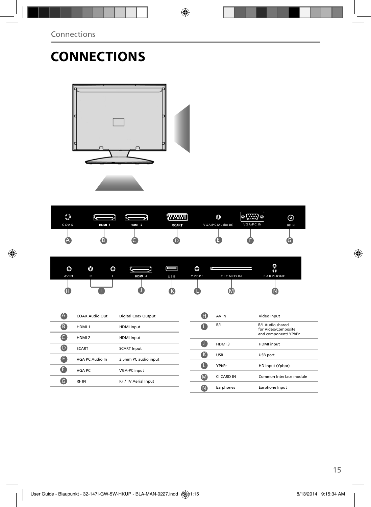# **CONNECTIONS**



| $\circledcirc$ |       |       |              | O                | 100000<br>'0 () 0 | ⊚     |
|----------------|-------|-------|--------------|------------------|-------------------|-------|
| COAX           | HDM 1 | HDM 2 | <b>SCART</b> | VGA/PC(Audio in) | <b>VGA/PC IN</b>  | RF IN |
| v^             |       |       |              |                  |                   |       |

| O     | $\circledcirc$ | O |       | וור             | $\circledcirc$ |                   | O<br>ନ          |  |
|-------|----------------|---|-------|-----------------|----------------|-------------------|-----------------|--|
| AV IN | $\mathsf{R}$   |   | HDM 3 | US <sub>B</sub> | YPbPr          | <b>CI CARD IN</b> | <b>EARPHONE</b> |  |
| ш     |                |   |       |                 |                | IV.               |                 |  |

| Ά                | COAX Audio Out    | Digital Coax Output  | Œ           | $\mathsf{A}$ |
|------------------|-------------------|----------------------|-------------|--------------|
| B                | HDMI <sub>1</sub> | <b>HDMI</b> Input    | W           | R            |
| C.               | HDMI <sub>2</sub> | <b>HDMI</b> Input    |             |              |
| $\mathbf \Theta$ | <b>SCART</b>      | <b>SCART Input</b>   |             | н            |
| ê                | VGA PC Audio In   | 3.5mm PC audio input | (K          | U.           |
| Œ                | VGA PC            | <b>VGA-PC</b> input  | ш           | Y            |
| G                | <b>RFIN</b>       | RF / TV Aerial Input | $\mathbf M$ | CI           |
|                  |                   |                      | M           | E,           |

| н  | AV IN      | Video Input                                                     |
|----|------------|-----------------------------------------------------------------|
|    | R/L        | R/L Audio shared<br>for Video/Composite<br>and component/ YPbPr |
|    | HDMI3      | <b>HDMI</b> input                                               |
|    | <b>USB</b> | USB port                                                        |
|    | YPbPr      | HD input (Ypbpr)                                                |
| ſМ | CI CARD IN | Common Interface module                                         |
|    | Earphones  | Earphone Input                                                  |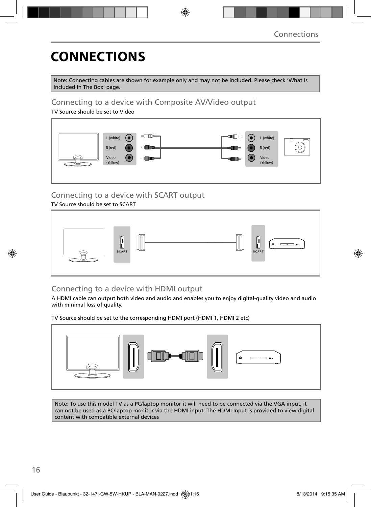# **CONNECTIONS**

Note: Connecting cables are shown for example only and may not be included. Please check 'What Is Included In The Box' page.

### Connecting to a device with Composite AV/Video output

TV Source should be set to Video



### Connecting to a device with SCART output

#### TV Source should be set to SCART



### Connecting to a device with HDMI output

A HDMI cable can output both video and audio and enables you to enjoy digital-quality video and audio with minimal loss of quality.

TV Source should be set to the corresponding HDMI port (HDMI 1, HDMI 2 etc)



Note: To use this model TV as a PC/laptop monitor it will need to be connected via the VGA input, it can not be used as a PC/laptop monitor via the HDMI input. The HDMI Input is provided to view digital content with compatible external devices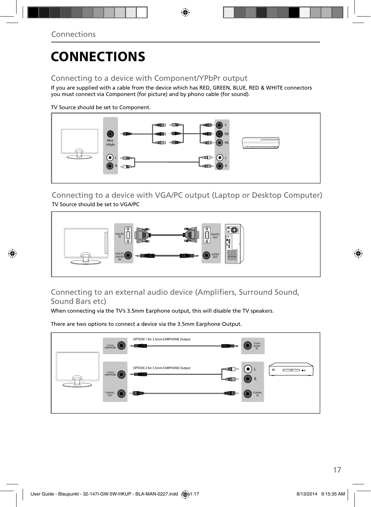# **CONNECTIONS**

### Connecting to a device with Component/YPbPr output

If you are supplied with a cable from the device which has RED, GREEN, BLUE, RED & WHITE connectors you must connect via Component (for picture) and by phono cable (for sound).

TV Source should be set to Component.



Connecting to a device with VGA/PC output (Laptop or Desktop Computer) TV Source should be set to VGA/PC



### Connecting to an external audio device (Amplifiers, Surround Sound, Sound Bars etc)

When connecting via the TV's 3.5mm Earphone output, this will disable the TV speakers.

There are two options to connect a device via the 3.5mm Earphone Output.

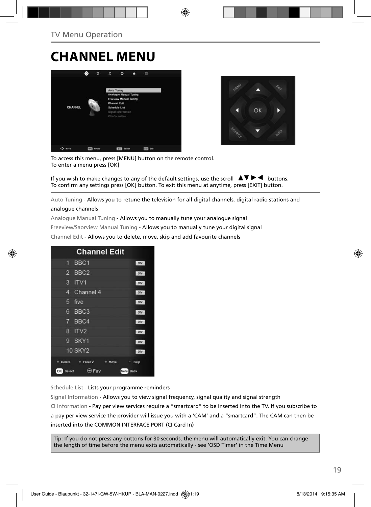### **CHANNEL MENU**



![](_page_13_Picture_3.jpeg)

To access this menu, press [MENU] button on the remote control. To enter a menu press [OK]

If you wish to make changes to any of the default settings, use the scroll  $\blacktriangle \blacktriangledown \blacktriangleright \blacktriangleleft$  buttons. To confirm any settings press [OK] button. To exit this menu at anytime, press [EXIT] button.

Auto Tuning - Allows you to retune the television for all digital channels, digital radio stations and

#### analogue channels

Analogue Manual Tuning - Allows you to manually tune your analogue signal

Freeview/Saorview Manual Tuning - Allows you to manually tune your digital signal

Channel Edit - Allows you to delete, move, skip and add favourite channels

|                | <b>Channel Edit</b>              |            |
|----------------|----------------------------------|------------|
| я.             | BBC <sub>1</sub>                 | ony        |
| $\overline{2}$ | BBC <sub>2</sub>                 | onv        |
| 3              | ITV1                             | otv        |
| 4              | Channel 4                        | otv        |
| 5              | five                             | otv        |
| 6              | BBC <sub>3</sub>                 | onv        |
| 7              | BBC4                             | otv        |
| 8              | IV2                              | otv        |
| 9              | SKY1                             | onv        |
|                | <b>10 SKY2</b>                   | otv        |
| Delete         | <sup>n</sup> FreeTV<br>٠<br>Move | Skip<br>٠. |
| Select<br>OK   | Fav<br>Menu                      | Back       |

Schedule List - Lists your programme reminders

Signal Information - Allows you to view signal frequency, signal quality and signal strength CI Information - Pay per view services require a "smartcard" to be inserted into the TV. If you subscribe to a pay per view service the provider will issue you with a 'CAM' and a "smartcard". The CAM can then be inserted into the COMMON INTERFACE PORT (CI Card In)

Tip: If you do not press any buttons for 30 seconds, the menu will automatically exit. You can change the length of time before the menu exits automatically - see 'OSD Timer' in the Time Menu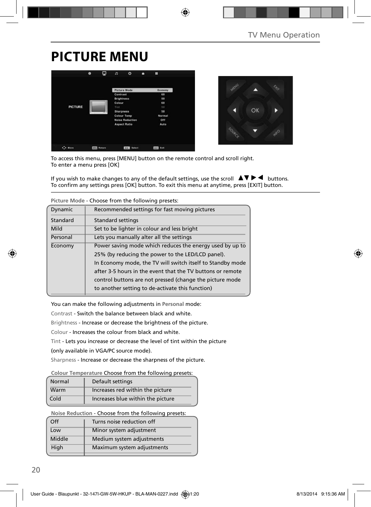# **PICTURE MENU**

![](_page_14_Picture_2.jpeg)

![](_page_14_Picture_3.jpeg)

To access this menu, press [MENU] button on the remote control and scroll right. To enter a menu press [OK]

If you wish to make changes to any of the default settings, use the scroll  $\Box \Box \Box \Box$  buttons. To confirm any settings press [OK] button. To exit this menu at anytime, press [EXIT] button.

|          | Picture Mode - Choose from the following presets.          |
|----------|------------------------------------------------------------|
| Dynamic  | Recommended settings for fast moving pictures              |
| Standard | <b>Standard settings</b>                                   |
| Mild     | Set to be lighter in colour and less bright                |
| Personal | Lets you manually alter all the settings                   |
| Economy  | Power saving mode which reduces the energy used by up to   |
|          | 25% (by reducing the power to the LED/LCD panel).          |
|          | In Economy mode, the TV will switch itself to Standby mode |
|          | after 3-5 hours in the event that the TV buttons or remote |
|          | control buttons are not pressed (change the picture mode   |
|          | to another setting to de-activate this function)           |

**Picture Mode** - Choose from the following presets:

You can make the following adjustments in **Personal** mode:

Contrast - Switch the balance between black and white.

Brightness - Increase or decrease the brightness of the picture.

Colour - Increases the colour from black and white.

Tint - Lets you increase or decrease the level of tint within the picture

(only available in VGA/PC source mode).

Sharpness - Increase or decrease the sharpness of the picture.

#### **Colour Temperature** Choose from the following presets:

| Normal | Default settings                  |
|--------|-----------------------------------|
| Warm   | Increases red within the picture  |
| Cold   | Increases blue within the picture |

**Noise Reduction** - Choose from the following presets:

| Turns noise reduction off  |
|----------------------------|
| Minor system adjustment    |
| Medium system adjustments  |
| Maximum system adjustments |
|                            |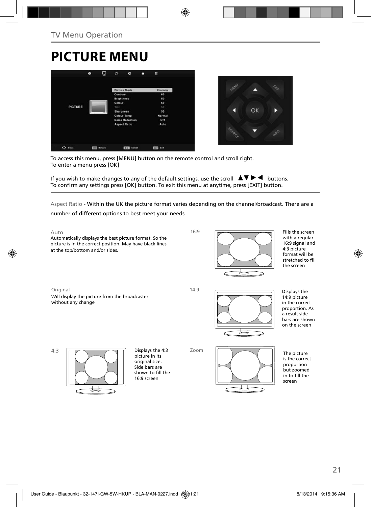# **PICTURE MENU**

![](_page_15_Picture_2.jpeg)

![](_page_15_Picture_3.jpeg)

To access this menu, press [MENU] button on the remote control and scroll right. To enter a menu press [OK]

If you wish to make changes to any of the default settings, use the scroll  $\Box \blacktriangledown \blacktriangleright \blacktriangleleft$  buttons. To confirm any settings press [OK] button. To exit this menu at anytime, press [EXIT] button.

Aspect Ratio - Within the UK the picture format varies depending on the channel/broadcast. There are a

number of different options to best meet your needs

4:3

![](_page_15_Figure_8.jpeg)

Fills the screen with a regular 16:9 signal and 4:3 picture format will be stretched to fill the screen

21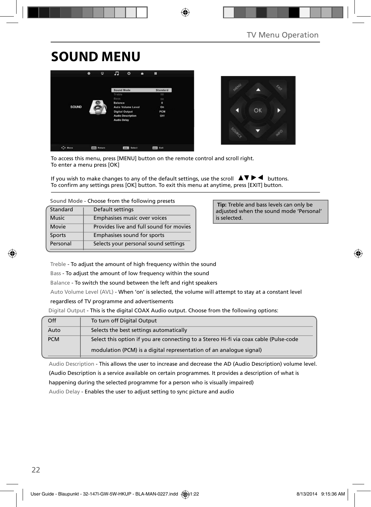# **SOUND MENU**

![](_page_16_Picture_2.jpeg)

![](_page_16_Picture_3.jpeg)

To access this menu, press [MENU] button on the remote control and scroll right. To enter a menu press [OK]

If you wish to make changes to any of the default settings, use the scroll  $\blacktriangle \blacktriangledown \blacktriangleright \blacktriangleleft$  buttons. To confirm any settings press [OK] button. To exit this menu at anytime, press [EXIT] button.

| Standard     | Default settings                        |
|--------------|-----------------------------------------|
| <b>Music</b> | Emphasises music over voices            |
| Movie        | Provides live and full sound for movies |
| Sports       | Emphasises sound for sports             |
| Personal     | Selects your personal sound settings    |
|              |                                         |

 **Tip:** Treble and bass levels can only be adjusted when the sound mode 'Personal' is selected.

Treble - To adjust the amount of high frequency within the sound

Bass - To adjust the amount of low frequency within the sound

Balance - To switch the sound between the left and right speakers

Auto Volume Level (AVL) - When 'on' is selected, the volume will attempt to stay at a constant level

regardless of TV programme and advertisements

Digital Output - This is the digital COAX Audio output. Choose from the following options:

| Off        | To turn off Digital Output                                                            |
|------------|---------------------------------------------------------------------------------------|
| Auto       | Selects the best settings automatically                                               |
| <b>PCM</b> | Select this option if you are connecting to a Stereo Hi-fi via coax cable (Pulse-code |
|            | modulation (PCM) is a digital representation of an analogue signal)                   |

Audio Description - This allows the user to increase and decrease the AD (Audio Description) volume level. (Audio Description is a service available on certain programmes. It provides a description of what is happening during the selected programme for a person who is visually impaired)

Audio Delay - Enables the user to adjust setting to sync picture and audio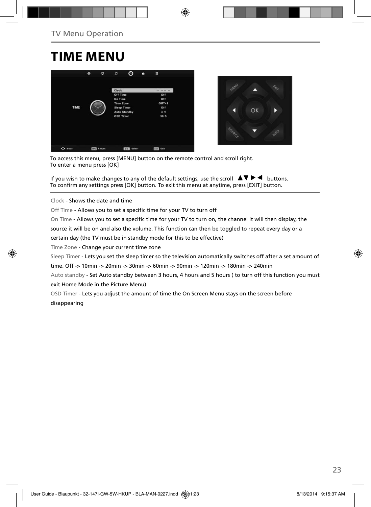### **TIME MENU**

![](_page_17_Picture_2.jpeg)

![](_page_17_Picture_3.jpeg)

To access this menu, press [MENU] button on the remote control and scroll right. To enter a menu press [OK]

If you wish to make changes to any of the default settings, use the scroll  $\Box \Box \blacktriangleright \blacktriangleleft$  buttons. To confirm any settings press [OK] button. To exit this menu at anytime, press [EXIT] button.

Clock - Shows the date and time

Off Time - Allows you to set a specific time for your TV to turn off

On Time - Allows you to set a specific time for your TV to turn on, the channel it will then display, the

source it will be on and also the volume. This function can then be toggled to repeat every day or a

certain day (the TV must be in standby mode for this to be effective)

Time Zone - Change your current time zone

Sleep Timer - Lets you set the sleep timer so the television automatically switches off after a set amount of

time. Off -> 10min -> 20min -> 30min -> 60min -> 90min -> 120min -> 180min -> 240min

Auto standby - Set Auto standby between 3 hours, 4 hours and 5 hours ( to turn off this function you must exit Home Mode in the Picture Menu)

OSD Timer - Lets you adjust the amount of time the On Screen Menu stays on the screen before disappearing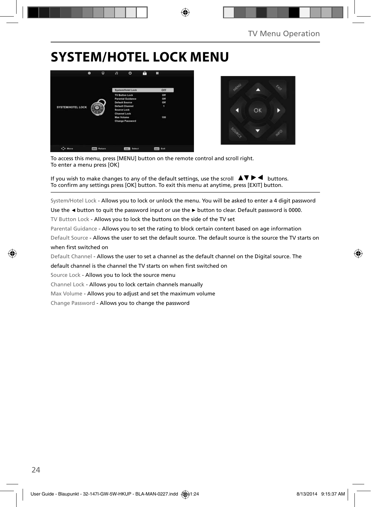# **SYSTEM/HOTEL LOCK MENU**

![](_page_18_Picture_2.jpeg)

![](_page_18_Picture_3.jpeg)

To access this menu, press [MENU] button on the remote control and scroll right. To enter a menu press [OK]

If you wish to make changes to any of the default settings, use the scroll  $\Box \blacktriangledown \blacktriangleright \blacktriangleleft$  buttons. To confirm any settings press [OK] button. To exit this menu at anytime, press [EXIT] button.

System/Hotel Lock - Allows you to lock or unlock the menu. You will be asked to enter a 4 digit password

Use the **◄** button to quit the password input or use the **►** button to clear. Default password is 0000.

TV Button Lock - Allows you to lock the buttons on the side of the TV set

Parental Guidance - Allows you to set the rating to block certain content based on age information

Default Source - Allows the user to set the default source. The default source is the source the TV starts on when first switched on

Default Channel - Allows the user to set a channel as the default channel on the Digital source. The

default channel is the channel the TV starts on when first switched on

Source Lock - Allows you to lock the source menu

Channel Lock - Allows you to lock certain channels manually

Max Volume - Allows you to adjust and set the maximum volume

Change Password - Allows you to change the password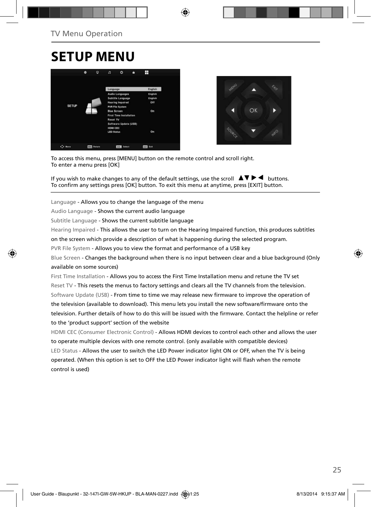### **SETUP MENU**

![](_page_19_Picture_2.jpeg)

![](_page_19_Picture_3.jpeg)

To access this menu, press [MENU] button on the remote control and scroll right. To enter a menu press [OK]

If you wish to make changes to any of the default settings, use the scroll  $\blacktriangle \blacktriangledown \blacktriangleright \blacktriangleleft$  buttons. To confirm any settings press [OK] button. To exit this menu at anytime, press [EXIT] button.

Language - Allows you to change the language of the menu

Audio Language - Shows the current audio language

Subtitle Language - Shows the current subtitle language

Hearing Impaired - This allows the user to turn on the Hearing Impaired function, this produces subtitles

on the screen which provide a description of what is happening during the selected program.

PVR File System - Allows you to view the format and performance of a USB key

Blue Screen - Changes the background when there is no input between clear and a blue background (Only available on some sources)

First Time Installation - Allows you to access the First Time Installation menu and retune the TV set Reset TV - This resets the menus to factory settings and clears all the TV channels from the television. Software Update (USB) - From time to time we may release new firmware to improve the operation of the television (available to download). This menu lets you install the new software/firmware onto the television. Further details of how to do this will be issued with the firmware. Contact the helpline or refer to the 'product support' section of the website

HDMI CEC (Consumer Electronic Control) - Allows HDMI devices to control each other and allows the user to operate multiple devices with one remote control. (only available with compatible devices) LED Status - Allows the user to switch the LED Power indicator light ON or OFF, when the TV is being operated. (When this option is set to OFF the LED Power indicator light will flash when the remote control is used)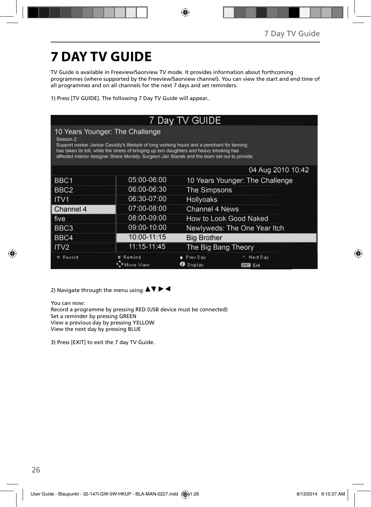# **7 DAY TV GUIDE**

TV Guide is available in Freeview/Saorview TV mode. It provides information about forthcoming programmes (where supported by the Freeview/Saorview channel). You can view the start and end time of all programmes and on all channels for the next 7 days and set reminders.

1) Press [TV GUIDE]. The following 7 Day TV Guide will appear..

| 7 Day TV GUIDE                                                                                                                                                                                                                                                                                                                                 |                     |                                 |                                 |  |  |  |
|------------------------------------------------------------------------------------------------------------------------------------------------------------------------------------------------------------------------------------------------------------------------------------------------------------------------------------------------|---------------------|---------------------------------|---------------------------------|--|--|--|
| 10 Years Younger: The Challenge<br>Season <sub>2</sub><br>Support worker Janice Cassidy's lifestyle of long working hours and a penchant for tanning<br>has taken its toll, while the stress of bringing up two daughters and heavy smoking has<br>affected interior designer Shere Morady. Surgeon Jan Stanek and the team set out to provide |                     |                                 |                                 |  |  |  |
|                                                                                                                                                                                                                                                                                                                                                |                     |                                 | 04 Aug 2010 10:42               |  |  |  |
| BBC <sub>1</sub>                                                                                                                                                                                                                                                                                                                               | 05:00-06:00         | 10 Years Younger: The Challenge |                                 |  |  |  |
| BBC <sub>2</sub>                                                                                                                                                                                                                                                                                                                               | 06:00-06:30         | The Simpsons                    |                                 |  |  |  |
| ITV <sub>1</sub>                                                                                                                                                                                                                                                                                                                               | 06:30-07:00         | Hollyoaks                       |                                 |  |  |  |
| Channel 4                                                                                                                                                                                                                                                                                                                                      | 07:00-08:00         | Channel 4 News                  |                                 |  |  |  |
| five                                                                                                                                                                                                                                                                                                                                           | 08:00-09:00         |                                 | How to Look Good Naked          |  |  |  |
| BBC3                                                                                                                                                                                                                                                                                                                                           | 09:00-10:00         |                                 | Newlyweds: The One Year Itch    |  |  |  |
| BBC4                                                                                                                                                                                                                                                                                                                                           | 10:00-11:15         | <b>Big Brother</b>              |                                 |  |  |  |
| ITV <sub>2</sub>                                                                                                                                                                                                                                                                                                                               | 11:15-11:45         | The Big Bang Theory             |                                 |  |  |  |
| Record                                                                                                                                                                                                                                                                                                                                         | Remind<br>Move View | Prev Day<br>Display<br>ø        | Next Day<br>Exit<br><b>EXIT</b> |  |  |  |

2) Navigate through the menu using  $\blacktriangle \blacktriangledown \blacktriangleright \blacktriangleleft$ 

You can now: Record a programme by pressing RED (USB device must be connected) Set a reminder by pressing GREEN View a previous day by pressing YELLOW View the next day by pressing BLUE

3) Press [EXIT] to exit the 7 day TV Guide.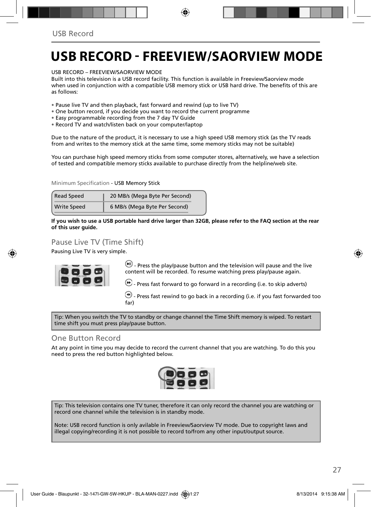### **USB RECORD - FREEVIEW/SAORVIEW MODE**

USB RECORD – FREEVIEW/SAORVIEW MODE

Built into this television is a USB record facility. This function is available in Freeview/Saorview mode when used in conjunction with a compatible USB memory stick or USB hard drive. The benefits of this are as follows:

- Pause live TV and then playback, fast forward and rewind (up to live TV)
- One button record, if you decide you want to record the current programme
- Easy programmable recording from the 7 day TV Guide
- Record TV and watch/listen back on your computer/laptop

Due to the nature of the product, it is necessary to use a high speed USB memory stick (as the TV reads from and writes to the memory stick at the same time, some memory sticks may not be suitable)

You can purchase high speed memory sticks from some computer stores, alternatively, we have a selection of tested and compatible memory sticks available to purchase directly from the helpline/web site.

Minimum Specification - USB Memory Stick

| Read Speed         | 20 MB/s (Mega Byte Per Second) |  |  |
|--------------------|--------------------------------|--|--|
| <b>Write Speed</b> | 6 MB/s (Mega Byte Per Second)  |  |  |

**If you wish to use a USB portable hard drive larger than 32GB, please refer to the FAQ section at the rear of this user guide.**

### Pause Live TV (Time Shift)

Pausing Live TV is very simple.

![](_page_21_Figure_15.jpeg)

 $\overline{(*)}$  - Press the play/pause button and the television will pause and the live content will be recorded. To resume watching press play/pause again.

 $\bigcirc$  - Press fast forward to go forward in a recording (i.e. to skip adverts)

 $\bigcirc$  - Press fast rewind to go back in a recording (i.e. if you fast forwarded too far)

Tip: When you switch the TV to standby or change channel the Time Shift memory is wiped. To restart time shift you must press play/pause button.

#### One Button Record

At any point in time you may decide to record the current channel that you are watching. To do this you need to press the red button highlighted below.

![](_page_21_Picture_22.jpeg)

Tip: This television contains one TV tuner, therefore it can only record the channel you are watching or record one channel while the television is in standby mode.

Note: USB record function is only avilable in Freeview/Saorview TV mode. Due to copyright laws and illegal copying/recording it is not possible to record to/from any other input/output source.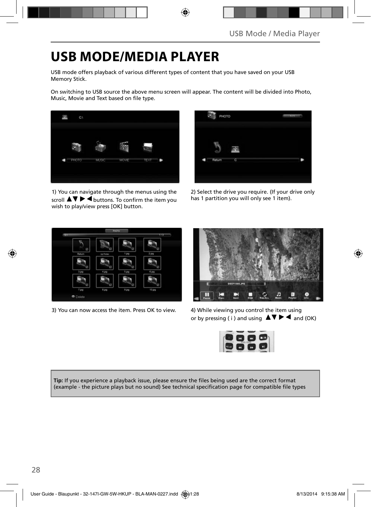### **USB MODE/MEDIA PLAYER**

USB mode offers playback of various different types of content that you have saved on your USB Memory Stick.

On switching to USB source the above menu screen will appear. The content will be divided into Photo, Music, Movie and Text based on file type.

![](_page_22_Picture_4.jpeg)

1) You can navigate through the menus using the scroll  $\triangle \triangledown \triangleright \blacktriangle$  buttons. To confirm the item you wish to play/view press [OK] button.

![](_page_22_Picture_6.jpeg)

2) Select the drive you require. (If your drive only has 1 partition you will only see 1 item).

![](_page_22_Picture_8.jpeg)

3) You can now access the item. Press OK to view. 4) While viewing you control the item using

![](_page_22_Picture_10.jpeg)

or by pressing (i) and using  $\Delta \nabla \blacktriangleright$   $\blacktriangle$  and (OK)

![](_page_22_Picture_12.jpeg)

**Tip:** If you experience a playback issue, please ensure the files being used are the correct format (example - the picture plays but no sound) See technical specification page for compatible file types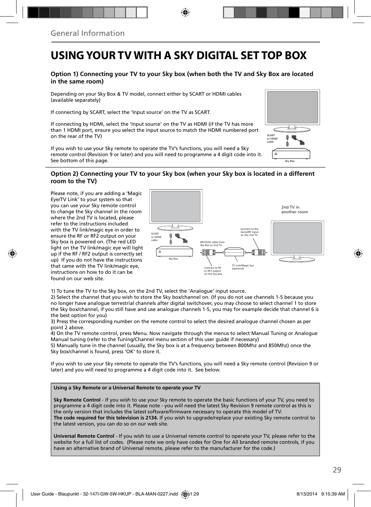### **USING YOUR TV WITH A SKY DIGITAL SET TOP BOX**

#### **Option 1) Connecting your TV to your Sky box (when both the TV and Sky Box are located in the same room)**

Depending on your Sky Box & TV model, connect either by SCART or HDMI cables (available separately)

If connecting by SCART, select the 'Input source' on the TV as SCART.

If connecting by HDMI, select the 'Input source' on the TV as HDMI (if the TV has more than 1 HDMI port, ensure you select the input source to match the HDMI numbered port on the rear of the TV)

If you wish to use your Sky remote to operate the TV's functions, you will need a Sky remote control (Revision 9 or later) and you will need to programme a 4 digit code into it. See bottom of this page.

### **SCART** or HDMI cable Á Sky Box

#### **Option 2) Connecting your TV to your Sky box (when your Sky box is located in a different room to the TV)**

Please note, if you are adding a 'Magic Eye/TV Link' to your system so that you can use your Sky remote control to change the Sky channel in the room where the 2nd TV is located, please refer to the instructions included with the TV link/magic eye in order to ensure the RF or RF2 output on your Sky box is powered on. (The red LED light on the TV link/magic eye will light up if the RF / RF2 output is correctly set up) If you do not have the instructions that came with the TV link/magic eye, instructions on how to do it can be found on our web site.

![](_page_23_Figure_10.jpeg)

1) To tune the TV to the Sky box, on the 2nd TV, select the 'Analogue' input source.

2) Select the channel that you wish to store the Sky box/channel on. (If you do not use channels 1-5 because you no longer have analogue terrestrial channels after digital switchover, you may choose to select channel 1 to store the Sky box/channel, if you still have and use analogue channels 1-5, you may for example decide that channel 6 is the best option for you)

3) Press the corresponding number on the remote control to select the desired analogue channel chosen as per point 2 above.

4) On the TV remote control, press Menu. Now navigate through the menus to select Manual Tuning or Analogue Manual tuning (refer to the Tuning/Channel menu section of this user guide if necessary)

5) Manually tune in the channel (usually, the Sky box is at a frequency between 800Mhz and 850Mhz) once the Sky box/channel is found, press 'OK' to store it.

If you wish to use your Sky remote to operate the TV's functions, you will need a Sky remote control (Revision 9 or later) and you will need to programme a 4 digit code into it. See below.

#### **Using a Sky Remote or a Universal Remote to operate your TV**

**Sky Remote Control** - If you wish to use your Sky remote to operate the basic functions of your TV, you need to programme a 4 digit code into it. Please note - you will need the latest Sky Revision 9 remote control as this is the only version that includes the latest software/firmware necessary to operate this model of TV. **The code required for this television is 2134.** If you wish to upgrade/replace your existing Sky remote control to the latest version, you can do so on our web site.

**Universal Remote Control** - If you wish to use a Universal remote control to operate your TV, please refer to the website for a full list of codes. (Please note we only have codes for One for All branded remote controls, if you have an alternative brand of Universal remote, please refer to the manufacturer for the code.)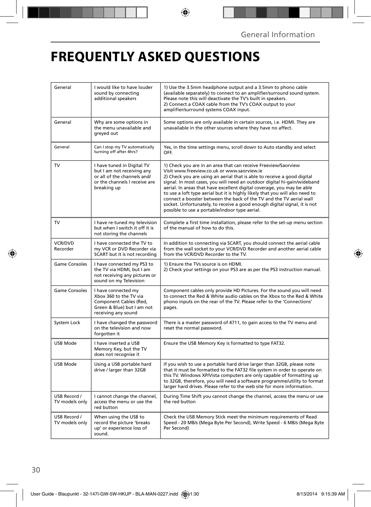# **FREQUENTLY ASKED QUESTIONS**

| General                        | I would like to have louder<br>sound by connecting<br>additional speakers                                                               | 1) Use the 3.5mm headphone output and a 3.5mm to phono cable<br>(available separately) to connect to an amplifier/surround sound system.<br>Please note this will deactivate the TV's built in speakers.<br>2) Connect a COAX cable from the TV's COAX output to your<br>amplifier/surround systems COAX input.                                                                                                                                                                                                                                                                                                                      |  |
|--------------------------------|-----------------------------------------------------------------------------------------------------------------------------------------|--------------------------------------------------------------------------------------------------------------------------------------------------------------------------------------------------------------------------------------------------------------------------------------------------------------------------------------------------------------------------------------------------------------------------------------------------------------------------------------------------------------------------------------------------------------------------------------------------------------------------------------|--|
| General                        | Why are some options in<br>the menu unavailable and<br>areved out                                                                       | Some options are only available in certain sources, i.e. HDMI. They are<br>unavailable in the other sources where they have no affect.                                                                                                                                                                                                                                                                                                                                                                                                                                                                                               |  |
| General                        | Can I stop my TV automatically<br>turning off after 4hrs?                                                                               | Yes, in the time settings menu, scroll down to Auto standby and select<br>OFF.                                                                                                                                                                                                                                                                                                                                                                                                                                                                                                                                                       |  |
| TV                             | I have tuned in Digital TV<br>but I am not receiving any<br>or all of the channels and/<br>or the channels I receive are<br>breaking up | 1) Check you are in an area that can receive Freeview/Saorview<br>Visit www.freeview.co.uk or www.saorview.ie<br>2) Check you are using an aerial that is able to receive a good digital<br>signal. In most cases, you will need an outdoor digital hi-qain/wideband<br>aerial. In areas that have excellent digital coverage, you may be able<br>to use a loft type aerial but it is highly likely that you will also need to<br>connect a booster between the back of the TV and the TV aerial wall<br>socket. Unfortunately, to receive a good enough digital signal, it is not<br>possible to use a portable/indoor type aerial. |  |
| ${\hbox{TV}}$                  | I have re-tuned my television<br>but when I switch it off it is<br>not storing the channels                                             | Complete a first time installation, please refer to the set-up menu section<br>of the manual of how to do this.                                                                                                                                                                                                                                                                                                                                                                                                                                                                                                                      |  |
| <b>VCR/DVD</b><br>Recorder     | I have connected the TV to<br>my VCR or DVD Recorder via<br>SCART but it is not recording                                               | In addition to connecting via SCART, you should connect the aerial cable<br>from the wall socket to your VCR/DVD Recorder and another aerial cable<br>from the VCR/DVD Recorder to the TV.                                                                                                                                                                                                                                                                                                                                                                                                                                           |  |
| <b>Game Consoles</b>           | I have connected my PS3 to<br>the TV via HDMI, but I am<br>not receiving any pictures or<br>sound on my Television                      | 1) Ensure the TVs source is on HDMI.<br>2) Check your settings on your PS3 are as per the PS3 instruction manual.                                                                                                                                                                                                                                                                                                                                                                                                                                                                                                                    |  |
| <b>Game Consoles</b>           | I have connected my<br>Xbox 360 to the TV via<br>Component Cables (Red,<br>Green & Blue) but I am not<br>receiving any sound            | Component cables only provide HD Pictures. For the sound you will need<br>to connect the Red & White audio cables on the Xbox to the Red & White<br>phono inputs on the rear of the TV. Please refer to the 'Connections'<br>pages.                                                                                                                                                                                                                                                                                                                                                                                                  |  |
| System Lock                    | I have changed the password<br>on the television and now<br>forgotten it                                                                | There is a master password of 4711, to gain access to the TV menu and<br>reset the normal password.                                                                                                                                                                                                                                                                                                                                                                                                                                                                                                                                  |  |
| USB Mode                       | I have inserted a USB<br>Memory Key, but the TV<br>does not recognise it                                                                | Ensure the USB Memory Key is formatted to type FAT32.                                                                                                                                                                                                                                                                                                                                                                                                                                                                                                                                                                                |  |
| <b>USB Mode</b>                | Using a USB portable hard<br>drive / larger than 32GB                                                                                   | If you wish to use a portable hard drive larger than 32GB, please note<br>that it must be formatted to the FAT32 file system in order to operate on<br>this TV. Windows XP/Vista computers are only capable of formatting up<br>to 32GB, therefore, you will need a software programme/utility to format<br>larger hard drives. Please refer to the web site for more information.                                                                                                                                                                                                                                                   |  |
| USB Record /<br>TV models only | I cannot change the channel,<br>access the menu or use the<br>red button                                                                | During Time Shift you cannot change the channel, access the menu or use<br>the red button                                                                                                                                                                                                                                                                                                                                                                                                                                                                                                                                            |  |
| USB Record /<br>TV models only | When using the USB to<br>record the picture 'breaks<br>up' or experience loss of<br>sound.                                              | Check the USB Memory Stick meet the minimum requirements of Read<br>Speed - 20 MB/s (Mega Byte Per Second), Write Speed - 6 MB/s (Mega Byte<br>Per Second)                                                                                                                                                                                                                                                                                                                                                                                                                                                                           |  |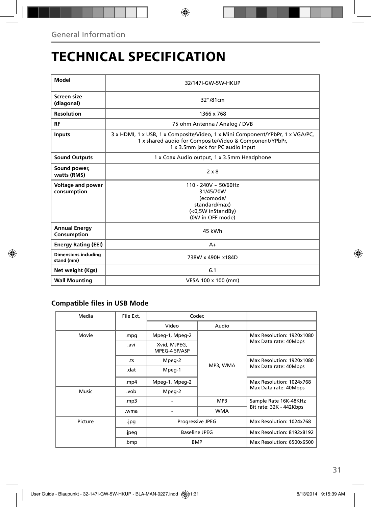# **TECHNICAL SPECIFICATION**

| Model                                     | 32/147I-GW-5W-HKUP                                                                                                                                                            |  |  |  |
|-------------------------------------------|-------------------------------------------------------------------------------------------------------------------------------------------------------------------------------|--|--|--|
| Screen size<br>(diagonal)                 | 32"/81cm                                                                                                                                                                      |  |  |  |
| <b>Resolution</b>                         | 1366 x 768                                                                                                                                                                    |  |  |  |
| <b>RF</b>                                 | 75 ohm Antenna / Analog / DVB                                                                                                                                                 |  |  |  |
| <b>Inputs</b>                             | 3 x HDMI, 1 x USB, 1 x Composite/Video, 1 x Mini Component/YPbPr, 1 x VGA/PC,<br>1 x shared audio for Composite/Video & Component/YPbPr,<br>1 x 3.5mm jack for PC audio input |  |  |  |
| <b>Sound Outputs</b>                      | 1 x Coax Audio output, 1 x 3.5mm Headphone                                                                                                                                    |  |  |  |
| Sound power,<br>watts (RMS)               | $2 \times 8$                                                                                                                                                                  |  |  |  |
| <b>Voltage and power</b><br>consumption   | $110 - 240V \approx 50/60$ Hz<br>31/45/70W<br>(ecomode/<br>standard/max)<br>(<0,5W inStandBy)<br>(0W in OFF mode)                                                             |  |  |  |
| <b>Annual Energy</b><br>Consumption       | 45 kWh                                                                                                                                                                        |  |  |  |
| <b>Energy Rating (EEI)</b>                | $A+$                                                                                                                                                                          |  |  |  |
| <b>Dimensions including</b><br>stand (mm) | 738W x 490H x184D                                                                                                                                                             |  |  |  |
| Net weight (Kgs)                          | 6.1                                                                                                                                                                           |  |  |  |
| <b>Wall Mounting</b>                      | VESA 100 x 100 (mm)                                                                                                                                                           |  |  |  |

### **Compatible files in USB Mode**

| Media   | File Ext.                     | Codec                         |                           |                                                    |
|---------|-------------------------------|-------------------------------|---------------------------|----------------------------------------------------|
|         |                               | Video                         | Audio                     |                                                    |
| Movie   | .mpg                          | Mpeg-1, Mpeg-2                | MP3, WMA                  | Max Resolution: 1920x1080<br>Max Data rate: 40Mbps |
|         | .avi                          | Xvid, MJPEG,<br>MPEG-4 SP/ASP |                           |                                                    |
|         | .ts                           | Mpeg-2                        |                           | Max Resolution: 1920x1080<br>Max Data rate: 40Mbps |
|         | .dat                          | Mpeg-1                        |                           |                                                    |
|         | .mp4                          | Mpeg-1, Mpeg-2                |                           | Max Resolution: 1024x768                           |
| Music   | .vob                          | Mpeg-2                        |                           | Max Data rate: 40Mbps                              |
|         | mp3.                          |                               | MP3                       | Sample Rate 16K-48KHz                              |
|         | .wma                          |                               | <b>WMA</b>                | Bit rate: 32K - 442Kbps                            |
| Picture | .jpg                          | Progressive JPEG              |                           | Max Resolution: 1024x768                           |
|         | <b>Baseline JPEG</b><br>.jpeg |                               | Max Resolution: 8192x8192 |                                                    |
|         | .bmp                          | <b>BMP</b>                    |                           | Max Resolution: 6500x6500                          |
|         |                               |                               |                           |                                                    |